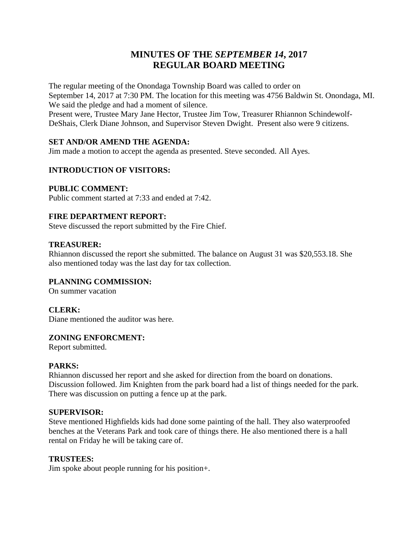# **MINUTES OF THE** *SEPTEMBER 14***, 2017 REGULAR BOARD MEETING**

The regular meeting of the Onondaga Township Board was called to order on September 14, 2017 at 7:30 PM. The location for this meeting was 4756 Baldwin St. Onondaga, MI. We said the pledge and had a moment of silence. Present were, Trustee Mary Jane Hector, Trustee Jim Tow, Treasurer Rhiannon Schindewolf-DeShais, Clerk Diane Johnson, and Supervisor Steven Dwight. Present also were 9 citizens.

# **SET AND/OR AMEND THE AGENDA:**

Jim made a motion to accept the agenda as presented. Steve seconded. All Ayes.

# **INTRODUCTION OF VISITORS:**

# **PUBLIC COMMENT:**

Public comment started at 7:33 and ended at 7:42.

# **FIRE DEPARTMENT REPORT:**

Steve discussed the report submitted by the Fire Chief.

#### **TREASURER:**

Rhiannon discussed the report she submitted. The balance on August 31 was \$20,553.18. She also mentioned today was the last day for tax collection.

# **PLANNING COMMISSION:**

On summer vacation

# **CLERK:**

Diane mentioned the auditor was here.

#### **ZONING ENFORCMENT:**

Report submitted.

#### **PARKS:**

Rhiannon discussed her report and she asked for direction from the board on donations. Discussion followed. Jim Knighten from the park board had a list of things needed for the park. There was discussion on putting a fence up at the park.

#### **SUPERVISOR:**

Steve mentioned Highfields kids had done some painting of the hall. They also waterproofed benches at the Veterans Park and took care of things there. He also mentioned there is a hall rental on Friday he will be taking care of.

# **TRUSTEES:**

Jim spoke about people running for his position+.